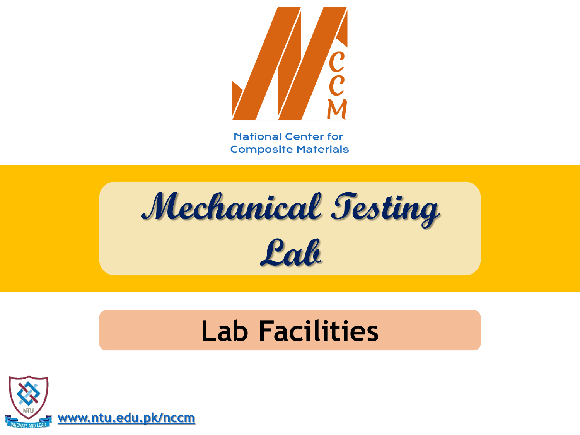

**Mechanical Testing Lab**

## **Lab Facilities**

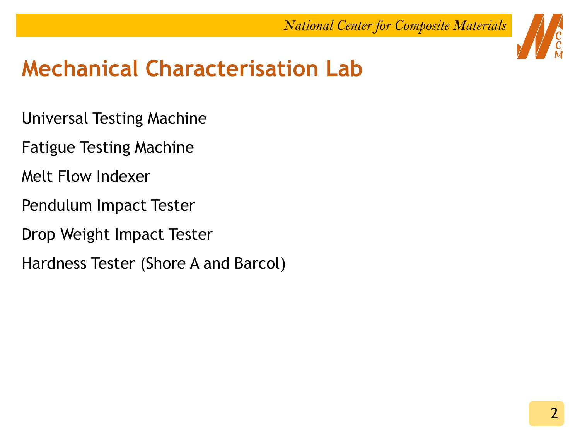

- Universal Testing Machine
- Fatigue Testing Machine
- Melt Flow Indexer
- Pendulum Impact Tester
- Drop Weight Impact Tester
- Hardness Tester (Shore A and Barcol)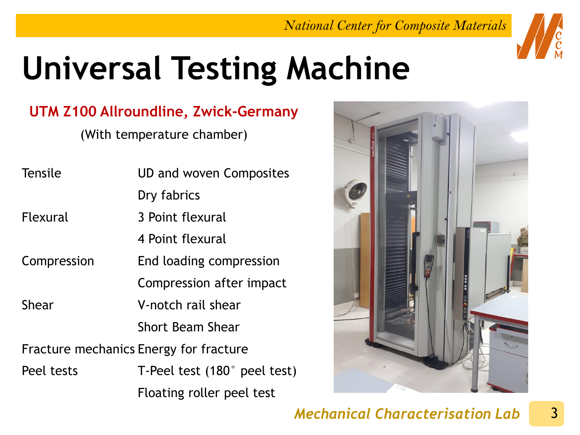

# **Universal Testing Machine**

### **UTM Z100 Allroundline, Zwick-Germany**

(With temperature chamber)

| <b>Tensile</b>  | UD and woven Composites                |
|-----------------|----------------------------------------|
|                 | Dry fabrics                            |
| <b>Flexural</b> | 3 Point flexural                       |
|                 | 4 Point flexural                       |
| Compression     | End loading compression                |
|                 | Compression after impact               |
| <b>Shear</b>    | V-notch rail shear                     |
|                 | <b>Short Beam Shear</b>                |
|                 | Fracture mechanics Energy for fracture |
| Peel tests      | T-Peel test $(180^\circ$ peel test)    |
|                 | Floating roller peel test              |

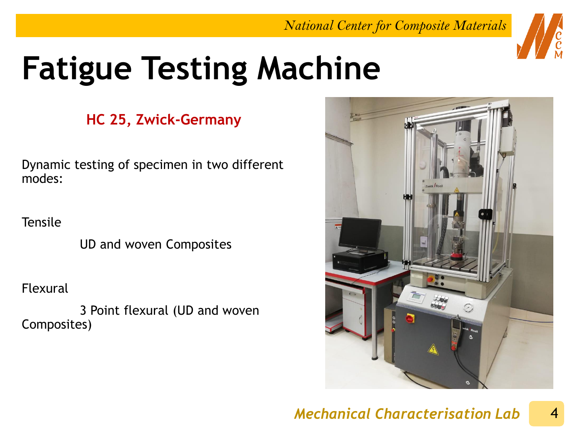

# **Fatigue Testing Machine**

### **HC 25, Zwick-Germany**

Dynamic testing of specimen in two different modes:

**Tensile** 

UD and woven Composites

Flexural

3 Point flexural (UD and woven Composites)

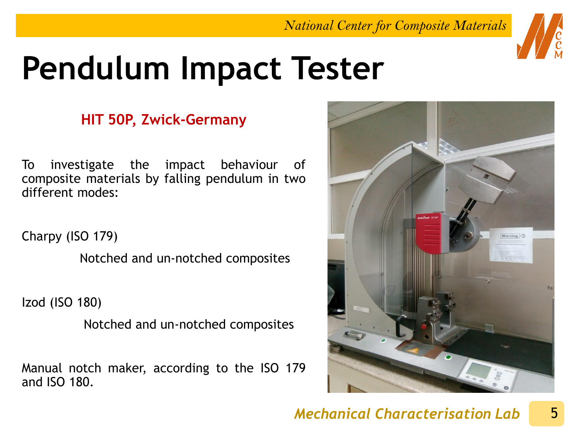

# **Pendulum Impact Tester**

### **HIT 50P, Zwick-Germany**

To investigate the impact behaviour of composite materials by falling pendulum in two different modes:

Charpy (ISO 179)

Notched and un-notched composites

Izod (ISO 180)

Notched and un-notched composites

Manual notch maker, according to the ISO 179 and ISO 180.

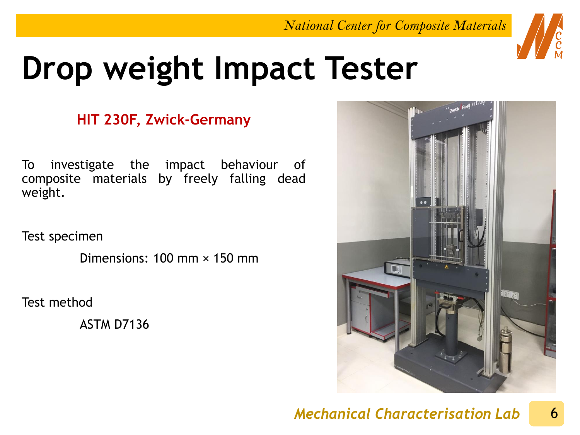

## **Drop weight Impact Tester**

### **HIT 230F, Zwick-Germany**

To investigate the impact behaviour of composite materials by freely falling dead weight.

Test specimen

Dimensions: 100 mm × 150 mm

Test method

ASTM D7136

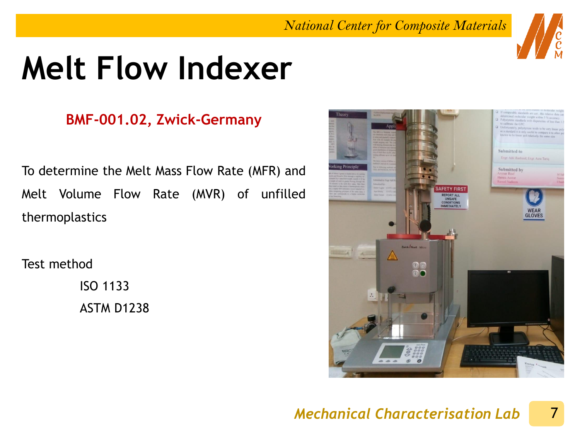# **Melt Flow Indexer**

### **BMF-001.02, Zwick-Germany**

To determine the Melt Mass Flow Rate (MFR) and Melt Volume Flow Rate (MVR) of unfilled thermoplastics

Test method

ISO 1133 ASTM D1238